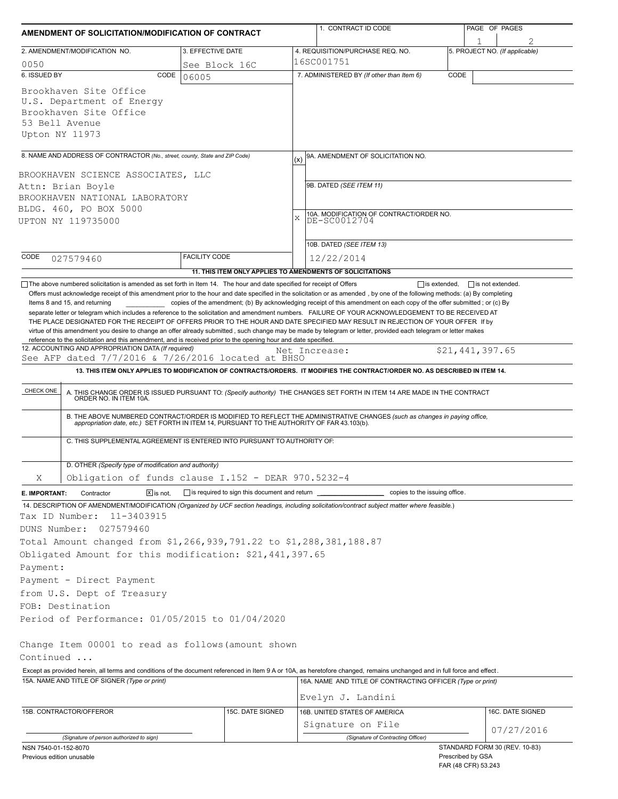| AMENDMENT OF SOLICITATION/MODIFICATION OF CONTRACT                                                                                                                                                                                                                                                                                                                                                                                                                                                                                 |                                                           |               | 1. CONTRACT ID CODE                                                                                                                                                                                                                                                                                                                                                          |                   | PAGE OF PAGES                  |  |  |
|------------------------------------------------------------------------------------------------------------------------------------------------------------------------------------------------------------------------------------------------------------------------------------------------------------------------------------------------------------------------------------------------------------------------------------------------------------------------------------------------------------------------------------|-----------------------------------------------------------|---------------|------------------------------------------------------------------------------------------------------------------------------------------------------------------------------------------------------------------------------------------------------------------------------------------------------------------------------------------------------------------------------|-------------------|--------------------------------|--|--|
|                                                                                                                                                                                                                                                                                                                                                                                                                                                                                                                                    |                                                           |               |                                                                                                                                                                                                                                                                                                                                                                              |                   |                                |  |  |
| 2. AMENDMENT/MODIFICATION NO.                                                                                                                                                                                                                                                                                                                                                                                                                                                                                                      | 3. EFFECTIVE DATE                                         |               | 4. REQUISITION/PURCHASE REQ. NO.<br>16SC001751                                                                                                                                                                                                                                                                                                                               |                   | 5. PROJECT NO. (If applicable) |  |  |
| 0050<br>6. ISSUED BY<br>CODE                                                                                                                                                                                                                                                                                                                                                                                                                                                                                                       | See Block 16C<br>06005                                    |               | 7. ADMINISTERED BY (If other than Item 6)                                                                                                                                                                                                                                                                                                                                    | CODE              |                                |  |  |
| Brookhaven Site Office<br>U.S. Department of Energy<br>Brookhaven Site Office<br>53 Bell Avenue<br>Upton NY 11973                                                                                                                                                                                                                                                                                                                                                                                                                  |                                                           |               |                                                                                                                                                                                                                                                                                                                                                                              |                   |                                |  |  |
| 8. NAME AND ADDRESS OF CONTRACTOR (No., street, county, State and ZIP Code)                                                                                                                                                                                                                                                                                                                                                                                                                                                        |                                                           | (x)           | 9A. AMENDMENT OF SOLICITATION NO.                                                                                                                                                                                                                                                                                                                                            |                   |                                |  |  |
| BROOKHAVEN SCIENCE ASSOCIATES, LLC<br>Attn: Brian Boyle<br>BROOKHAVEN NATIONAL LABORATORY<br>BLDG. 460, PO BOX 5000<br>UPTON NY 119735000                                                                                                                                                                                                                                                                                                                                                                                          |                                                           |               | 9B. DATED (SEE ITEM 11)<br>10A. MODIFICATION OF CONTRACT/ORDER NO.<br>DE-SC0012704<br>X<br>10B. DATED (SEE ITEM 13)                                                                                                                                                                                                                                                          |                   |                                |  |  |
| CODE<br>027579460                                                                                                                                                                                                                                                                                                                                                                                                                                                                                                                  | <b>FACILITY CODE</b>                                      |               | 12/22/2014                                                                                                                                                                                                                                                                                                                                                                   |                   |                                |  |  |
|                                                                                                                                                                                                                                                                                                                                                                                                                                                                                                                                    | 11. THIS ITEM ONLY APPLIES TO AMENDMENTS OF SOLICITATIONS |               |                                                                                                                                                                                                                                                                                                                                                                              |                   |                                |  |  |
| THE PLACE DESIGNATED FOR THE RECEIPT OF OFFERS PRIOR TO THE HOUR AND DATE SPECIFIED MAY RESULT IN REJECTION OF YOUR OFFER If by<br>virtue of this amendment you desire to change an offer already submitted, such change may be made by telegram or letter, provided each telegram or letter makes<br>reference to the solicitation and this amendment, and is received prior to the opening hour and date specified.<br>12. ACCOUNTING AND APPROPRIATION DATA (If required)<br>See AFP dated 7/7/2016 & 7/26/2016 located at BHSO |                                                           | Net Increase: | 13. THIS ITEM ONLY APPLIES TO MODIFICATION OF CONTRACTS/ORDERS. IT MODIFIES THE CONTRACT/ORDER NO. AS DESCRIBED IN ITEM 14.                                                                                                                                                                                                                                                  |                   | \$21,441,397.65                |  |  |
|                                                                                                                                                                                                                                                                                                                                                                                                                                                                                                                                    |                                                           |               |                                                                                                                                                                                                                                                                                                                                                                              |                   |                                |  |  |
| CHECK ONE<br>C. THIS SUPPLEMENTAL AGREEMENT IS ENTERED INTO PURSUANT TO AUTHORITY OF:                                                                                                                                                                                                                                                                                                                                                                                                                                              |                                                           |               | A. THIS CHANGE ORDER IS ISSUED PURSUANT TO: (Specify authority) THE CHANGES SET FORTH IN ITEM 14 ARE MADE IN THE CONTRACT ORDER NO. IN ITEM 10A.<br>B. THE ABOVE NUMBERED CONTRACT/ORDER IS MODIFIED TO REFLECT THE ADMINISTRATIVE CHANGES (such as changes in paying office,<br>appropriation date, etc.) SET FORTH IN ITEM 14, PURSUANT TO THE AUTHORITY OF FAR 43.103(b). |                   |                                |  |  |
|                                                                                                                                                                                                                                                                                                                                                                                                                                                                                                                                    |                                                           |               |                                                                                                                                                                                                                                                                                                                                                                              |                   |                                |  |  |
| D. OTHER (Specify type of modification and authority)<br>Obligation of funds clause I.152 - DEAR 970.5232-4                                                                                                                                                                                                                                                                                                                                                                                                                        |                                                           |               |                                                                                                                                                                                                                                                                                                                                                                              |                   |                                |  |  |
| Χ                                                                                                                                                                                                                                                                                                                                                                                                                                                                                                                                  |                                                           |               |                                                                                                                                                                                                                                                                                                                                                                              |                   |                                |  |  |
| $ \overline{x} $ is not.<br>E. IMPORTANT:<br>Contractor<br>14. DESCRIPTION OF AMENDMENT/MODIFICATION (Organized by UCF section headings, including solicitation/contract subject matter where feasible.)                                                                                                                                                                                                                                                                                                                           | is required to sign this document and return              |               | _ copies to the issuing office.                                                                                                                                                                                                                                                                                                                                              |                   |                                |  |  |
| Tax ID Number:<br>11-3403915<br>DUNS Number:<br>027579460<br>Total Amount changed from \$1,266,939,791.22 to \$1,288,381,188.87<br>Obligated Amount for this modification: \$21,441,397.65                                                                                                                                                                                                                                                                                                                                         |                                                           |               |                                                                                                                                                                                                                                                                                                                                                                              |                   |                                |  |  |
| Payment:                                                                                                                                                                                                                                                                                                                                                                                                                                                                                                                           |                                                           |               |                                                                                                                                                                                                                                                                                                                                                                              |                   |                                |  |  |
| Payment - Direct Payment                                                                                                                                                                                                                                                                                                                                                                                                                                                                                                           |                                                           |               |                                                                                                                                                                                                                                                                                                                                                                              |                   |                                |  |  |
| from U.S. Dept of Treasury                                                                                                                                                                                                                                                                                                                                                                                                                                                                                                         |                                                           |               |                                                                                                                                                                                                                                                                                                                                                                              |                   |                                |  |  |
| FOB: Destination                                                                                                                                                                                                                                                                                                                                                                                                                                                                                                                   |                                                           |               |                                                                                                                                                                                                                                                                                                                                                                              |                   |                                |  |  |
| Period of Performance: 01/05/2015 to 01/04/2020                                                                                                                                                                                                                                                                                                                                                                                                                                                                                    |                                                           |               |                                                                                                                                                                                                                                                                                                                                                                              |                   |                                |  |  |
| Change Item 00001 to read as follows (amount shown<br>Continued                                                                                                                                                                                                                                                                                                                                                                                                                                                                    |                                                           |               |                                                                                                                                                                                                                                                                                                                                                                              |                   |                                |  |  |
| Except as provided herein, all terms and conditions of the document referenced in Item 9 A or 10A, as heretofore changed, remains unchanged and in full force and effect.                                                                                                                                                                                                                                                                                                                                                          |                                                           |               |                                                                                                                                                                                                                                                                                                                                                                              |                   |                                |  |  |
| 15A. NAME AND TITLE OF SIGNER (Type or print)                                                                                                                                                                                                                                                                                                                                                                                                                                                                                      |                                                           |               | 16A. NAME AND TITLE OF CONTRACTING OFFICER (Type or print)                                                                                                                                                                                                                                                                                                                   |                   |                                |  |  |
|                                                                                                                                                                                                                                                                                                                                                                                                                                                                                                                                    |                                                           |               | Evelyn J. Landini                                                                                                                                                                                                                                                                                                                                                            |                   |                                |  |  |
| 15B. CONTRACTOR/OFFEROR                                                                                                                                                                                                                                                                                                                                                                                                                                                                                                            | 15C. DATE SIGNED                                          |               | 16B. UNITED STATES OF AMERICA                                                                                                                                                                                                                                                                                                                                                |                   | 16C. DATE SIGNED               |  |  |
|                                                                                                                                                                                                                                                                                                                                                                                                                                                                                                                                    |                                                           |               | Signature on File                                                                                                                                                                                                                                                                                                                                                            |                   | 07/27/2016                     |  |  |
| (Signature of person authorized to sign)                                                                                                                                                                                                                                                                                                                                                                                                                                                                                           |                                                           |               | (Signature of Contracting Officer)                                                                                                                                                                                                                                                                                                                                           |                   |                                |  |  |
| NSN 7540-01-152-8070<br>Previous edition unusable                                                                                                                                                                                                                                                                                                                                                                                                                                                                                  |                                                           |               |                                                                                                                                                                                                                                                                                                                                                                              | Prescribed by GSA | STANDARD FORM 30 (REV. 10-83)  |  |  |